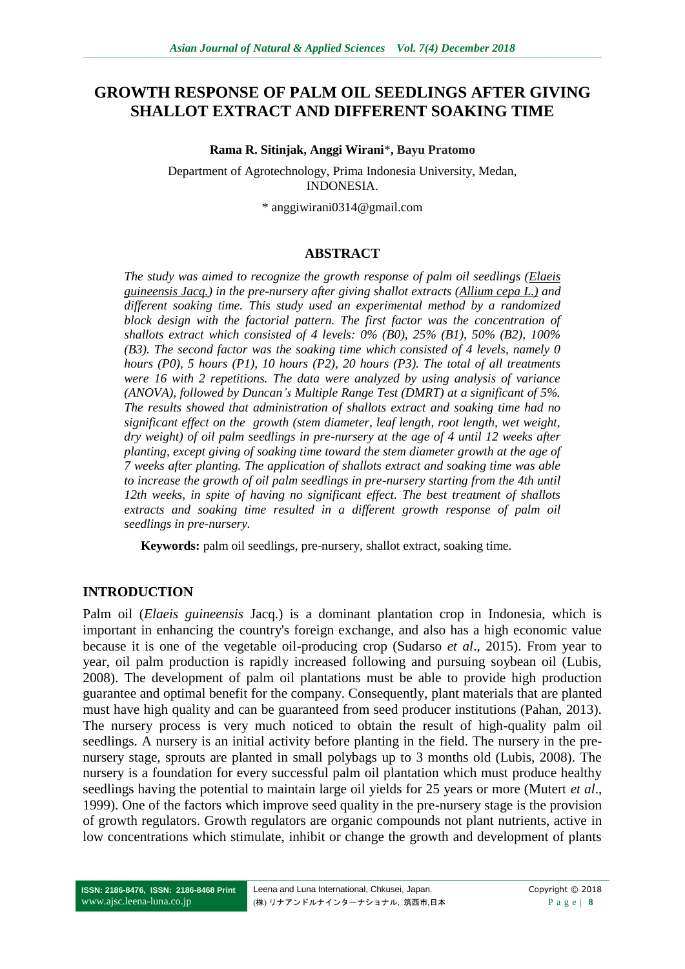# **GROWTH RESPONSE OF PALM OIL SEEDLINGS AFTER GIVING SHALLOT EXTRACT AND DIFFERENT SOAKING TIME**

#### **Rama R. Sitinjak, Anggi Wirani**\***, Bayu Pratomo**

Department of Agrotechnology, Prima Indonesia University, Medan, INDONESIA.

\* anggiwirani0314@gmail.com

#### **ABSTRACT**

*The study was aimed to recognize the growth response of palm oil seedlings (Elaeis guineensis Jacq.) in the pre-nursery after giving shallot extracts (Allium cepa L.) and different soaking time. This study used an experimental method by a randomized block design with the factorial pattern. The first factor was the concentration of shallots extract which consisted of 4 levels: 0% (B0), 25% (B1), 50% (B2), 100% (B3). The second factor was the soaking time which consisted of 4 levels, namely 0 hours (P0), 5 hours (P1), 10 hours (P2), 20 hours (P3). The total of all treatments were 16 with 2 repetitions. The data were analyzed by using analysis of variance (ANOVA), followed by Duncan's Multiple Range Test (DMRT) at a significant of 5%. The results showed that administration of shallots extract and soaking time had no significant effect on the growth (stem diameter, leaf length, root length, wet weight, dry weight) of oil palm seedlings in pre-nursery at the age of 4 until 12 weeks after planting, except giving of soaking time toward the stem diameter growth at the age of 7 weeks after planting. The application of shallots extract and soaking time was able to increase the growth of oil palm seedlings in pre-nursery starting from the 4th until 12th weeks, in spite of having no significant effect. The best treatment of shallots extracts and soaking time resulted in a different growth response of palm oil seedlings in pre-nursery.*

**Keywords:** palm oil seedlings, pre-nursery, shallot extract, soaking time.

## **INTRODUCTION**

Palm oil (*Elaeis guineensis* Jacq.) is a dominant plantation crop in Indonesia, which is important in enhancing the country's foreign exchange, and also has a high economic value because it is one of the vegetable oil-producing crop (Sudarso *et al*., 2015). From year to year, oil palm production is rapidly increased following and pursuing soybean oil (Lubis, 2008). The development of palm oil plantations must be able to provide high production guarantee and optimal benefit for the company. Consequently, plant materials that are planted must have high quality and can be guaranteed from seed producer institutions (Pahan, 2013). The nursery process is very much noticed to obtain the result of high-quality palm oil seedlings. A nursery is an initial activity before planting in the field. The nursery in the prenursery stage, sprouts are planted in small polybags up to 3 months old (Lubis, 2008). The nursery is a foundation for every successful palm oil plantation which must produce healthy seedlings having the potential to maintain large oil yields for 25 years or more (Mutert *et al*., 1999). One of the factors which improve seed quality in the pre-nursery stage is the provision of growth regulators. Growth regulators are organic compounds not plant nutrients, active in low concentrations which stimulate, inhibit or change the growth and development of plants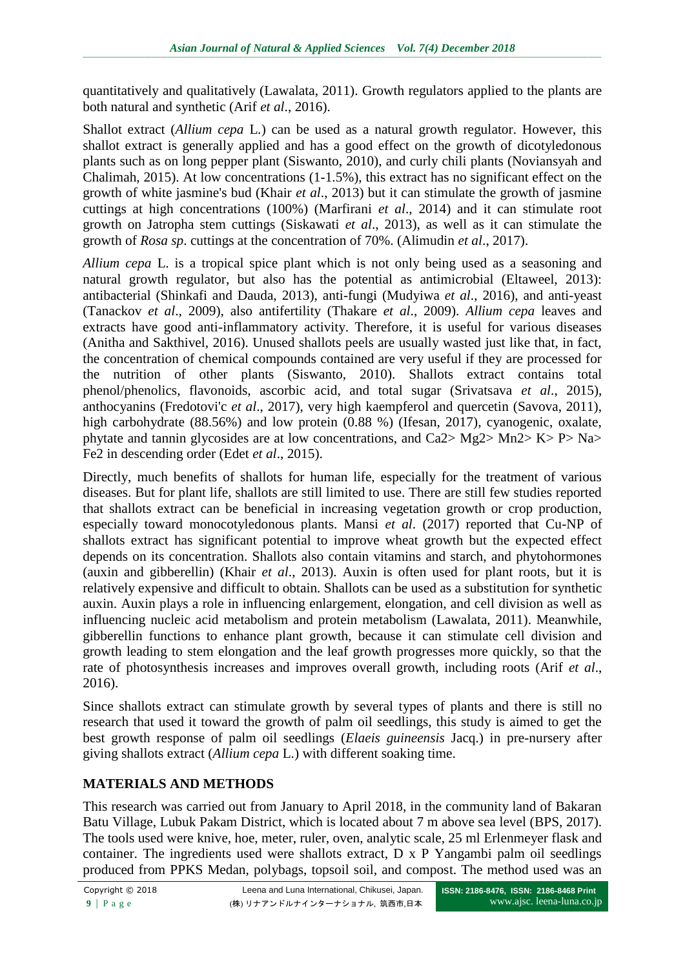quantitatively and qualitatively (Lawalata, 2011). Growth regulators applied to the plants are both natural and synthetic (Arif *et al*., 2016).

Shallot extract (*Allium cepa* L.) can be used as a natural growth regulator. However, this shallot extract is generally applied and has a good effect on the growth of dicotyledonous plants such as on long pepper plant (Siswanto, 2010), and curly chili plants (Noviansyah and Chalimah, 2015). At low concentrations (1-1.5%), this extract has no significant effect on the growth of white jasmine's bud (Khair *et al*., 2013) but it can stimulate the growth of jasmine cuttings at high concentrations (100%) (Marfirani *et al*., 2014) and it can stimulate root growth on Jatropha stem cuttings (Siskawati *et al*., 2013), as well as it can stimulate the growth of *Rosa sp*. cuttings at the concentration of 70%. (Alimudin *et al*., 2017).

*Allium cepa* L. is a tropical spice plant which is not only being used as a seasoning and natural growth regulator, but also has the potential as antimicrobial (Eltaweel, 2013): antibacterial (Shinkafi and Dauda, 2013), anti-fungi (Mudyiwa *et al*., 2016), and anti-yeast (Tanackov *et al*., 2009), also antifertility (Thakare *et al*., 2009). *Allium cepa* leaves and extracts have good anti-inflammatory activity. Therefore, it is useful for various diseases (Anitha and Sakthivel, 2016). Unused shallots peels are usually wasted just like that, in fact, the concentration of chemical compounds contained are very useful if they are processed for the nutrition of other plants (Siswanto, 2010). Shallots extract contains total phenol/phenolics, flavonoids, ascorbic acid, and total sugar (Srivatsava *et al*., 2015), anthocyanins (Fredotovi'c *et al*., 2017), very high kaempferol and quercetin (Savova, 2011), high carbohydrate (88.56%) and low protein (0.88 %) (Ifesan, 2017), cyanogenic, oxalate, phytate and tannin glycosides are at low concentrations, and Ca2> Mg2> Mn2> K> P> Na> Fe2 in descending order (Edet *et al*., 2015).

Directly, much benefits of shallots for human life, especially for the treatment of various diseases. But for plant life, shallots are still limited to use. There are still few studies reported that shallots extract can be beneficial in increasing vegetation growth or crop production, especially toward monocotyledonous plants. Mansi *et al*. (2017) reported that Cu-NP of shallots extract has significant potential to improve wheat growth but the expected effect depends on its concentration. Shallots also contain vitamins and starch, and phytohormones (auxin and gibberellin) (Khair *et al*., 2013). Auxin is often used for plant roots, but it is relatively expensive and difficult to obtain. Shallots can be used as a substitution for synthetic auxin. Auxin plays a role in influencing enlargement, elongation, and cell division as well as influencing nucleic acid metabolism and protein metabolism (Lawalata, 2011). Meanwhile, gibberellin functions to enhance plant growth, because it can stimulate cell division and growth leading to stem elongation and the leaf growth progresses more quickly, so that the rate of photosynthesis increases and improves overall growth, including roots (Arif *et al*., 2016).

Since shallots extract can stimulate growth by several types of plants and there is still no research that used it toward the growth of palm oil seedlings, this study is aimed to get the best growth response of palm oil seedlings (*Elaeis guineensis* Jacq.) in pre-nursery after giving shallots extract (*Allium cepa* L.) with different soaking time.

# **MATERIALS AND METHODS**

This research was carried out from January to April 2018, in the community land of Bakaran Batu Village, Lubuk Pakam District, which is located about 7 m above sea level (BPS, 2017). The tools used were knive, hoe, meter, ruler, oven, analytic scale, 25 ml Erlenmeyer flask and container. The ingredients used were shallots extract, D x P Yangambi palm oil seedlings produced from PPKS Medan, polybags, topsoil soil, and compost. The method used was an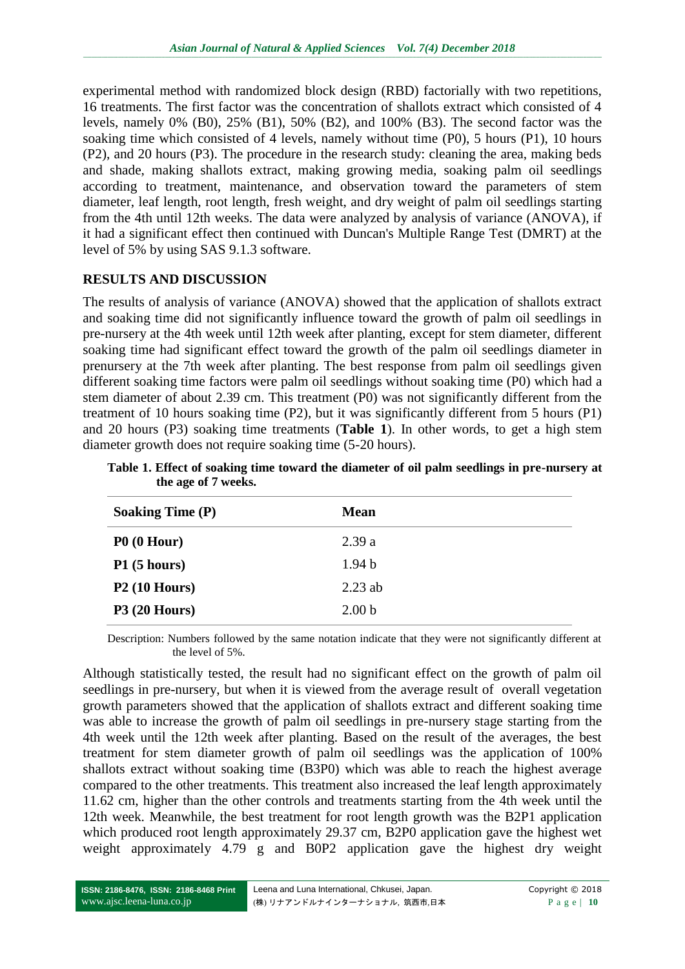experimental method with randomized block design (RBD) factorially with two repetitions, 16 treatments. The first factor was the concentration of shallots extract which consisted of 4 levels, namely 0% (B0), 25% (B1), 50% (B2), and 100% (B3). The second factor was the soaking time which consisted of 4 levels, namely without time (P0), 5 hours (P1), 10 hours (P2), and 20 hours (P3). The procedure in the research study: cleaning the area, making beds and shade, making shallots extract, making growing media, soaking palm oil seedlings according to treatment, maintenance, and observation toward the parameters of stem diameter, leaf length, root length, fresh weight, and dry weight of palm oil seedlings starting from the 4th until 12th weeks. The data were analyzed by analysis of variance (ANOVA), if it had a significant effect then continued with Duncan's Multiple Range Test (DMRT) at the level of 5% by using SAS 9.1.3 software.

## **RESULTS AND DISCUSSION**

The results of analysis of variance (ANOVA) showed that the application of shallots extract and soaking time did not significantly influence toward the growth of palm oil seedlings in pre-nursery at the 4th week until 12th week after planting, except for stem diameter, different soaking time had significant effect toward the growth of the palm oil seedlings diameter in prenursery at the 7th week after planting. The best response from palm oil seedlings given different soaking time factors were palm oil seedlings without soaking time (P0) which had a stem diameter of about 2.39 cm. This treatment (P0) was not significantly different from the treatment of 10 hours soaking time (P2), but it was significantly different from 5 hours (P1) and 20 hours (P3) soaking time treatments (**Table 1**). In other words, to get a high stem diameter growth does not require soaking time (5-20 hours).

**Table 1. Effect of soaking time toward the diameter of oil palm seedlings in pre-nursery at the age of 7 weeks.**

| <b>Soaking Time (P)</b> | <b>Mean</b>       |
|-------------------------|-------------------|
| P0(0 Hour)              | 2.39a             |
| P1(5 hours)             | 1.94 <sub>b</sub> |
| $P2(10$ Hours)          | $2.23$ ab         |
| $P3(20$ Hours)          | 2.00 <sub>b</sub> |

Description: Numbers followed by the same notation indicate that they were not significantly different at the level of 5%.

Although statistically tested, the result had no significant effect on the growth of palm oil seedlings in pre-nursery, but when it is viewed from the average result of overall vegetation growth parameters showed that the application of shallots extract and different soaking time was able to increase the growth of palm oil seedlings in pre-nursery stage starting from the 4th week until the 12th week after planting. Based on the result of the averages, the best treatment for stem diameter growth of palm oil seedlings was the application of 100% shallots extract without soaking time (B3P0) which was able to reach the highest average compared to the other treatments. This treatment also increased the leaf length approximately 11.62 cm, higher than the other controls and treatments starting from the 4th week until the 12th week. Meanwhile, the best treatment for root length growth was the B2P1 application which produced root length approximately 29.37 cm, B2P0 application gave the highest wet weight approximately 4.79 g and B0P2 application gave the highest dry weight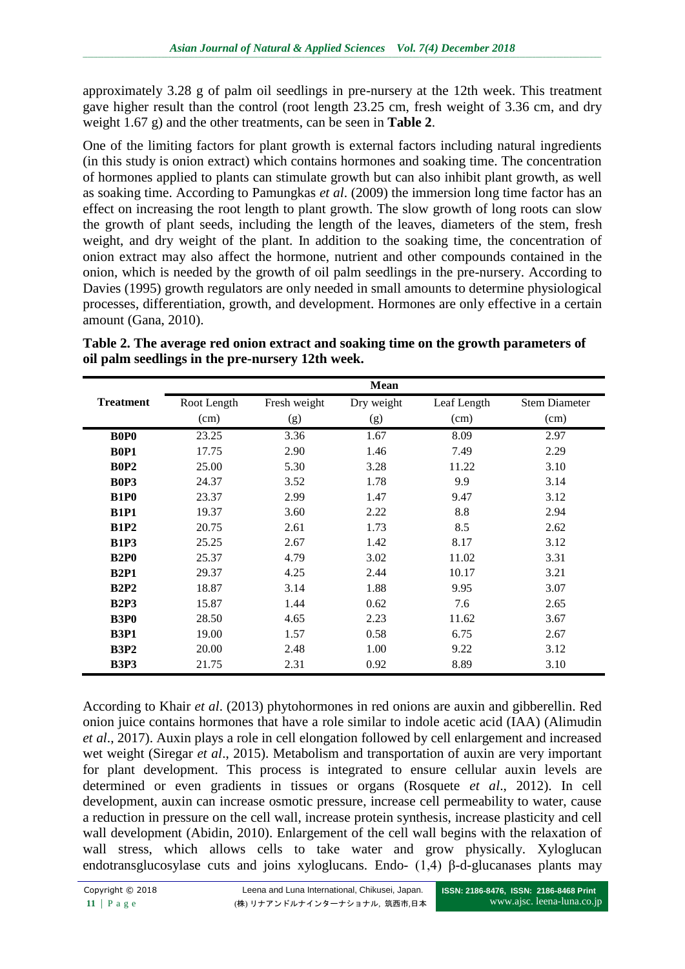approximately 3.28 g of palm oil seedlings in pre-nursery at the 12th week. This treatment gave higher result than the control (root length 23.25 cm, fresh weight of 3.36 cm, and dry weight 1.67 g) and the other treatments, can be seen in **Table 2**.

One of the limiting factors for plant growth is external factors including natural ingredients (in this study is onion extract) which contains hormones and soaking time. The concentration of hormones applied to plants can stimulate growth but can also inhibit plant growth, as well as soaking time. According to Pamungkas *et al*. (2009) the immersion long time factor has an effect on increasing the root length to plant growth. The slow growth of long roots can slow the growth of plant seeds, including the length of the leaves, diameters of the stem, fresh weight, and dry weight of the plant. In addition to the soaking time, the concentration of onion extract may also affect the hormone, nutrient and other compounds contained in the onion, which is needed by the growth of oil palm seedlings in the pre-nursery. According to Davies (1995) growth regulators are only needed in small amounts to determine physiological processes, differentiation, growth, and development. Hormones are only effective in a certain amount (Gana, 2010).

**Table 2. The average red onion extract and soaking time on the growth parameters of oil palm seedlings in the pre-nursery 12th week.**

|                               | <b>Mean</b> |              |            |             |                      |  |
|-------------------------------|-------------|--------------|------------|-------------|----------------------|--|
| <b>Treatment</b>              | Root Length | Fresh weight | Dry weight | Leaf Length | <b>Stem Diameter</b> |  |
|                               | (cm)        | (g)          | (g)        | (cm)        | (cm)                 |  |
| B <sub>0</sub> P <sub>0</sub> | 23.25       | 3.36         | 1.67       | 8.09        | 2.97                 |  |
| <b>B0P1</b>                   | 17.75       | 2.90         | 1.46       | 7.49        | 2.29                 |  |
| <b>B0P2</b>                   | 25.00       | 5.30         | 3.28       | 11.22       | 3.10                 |  |
| <b>B0P3</b>                   | 24.37       | 3.52         | 1.78       | 9.9         | 3.14                 |  |
| <b>B1P0</b>                   | 23.37       | 2.99         | 1.47       | 9.47        | 3.12                 |  |
| <b>B1P1</b>                   | 19.37       | 3.60         | 2.22       | 8.8         | 2.94                 |  |
| <b>B1P2</b>                   | 20.75       | 2.61         | 1.73       | 8.5         | 2.62                 |  |
| <b>B1P3</b>                   | 25.25       | 2.67         | 1.42       | 8.17        | 3.12                 |  |
| <b>B2P0</b>                   | 25.37       | 4.79         | 3.02       | 11.02       | 3.31                 |  |
| <b>B2P1</b>                   | 29.37       | 4.25         | 2.44       | 10.17       | 3.21                 |  |
| B2P2                          | 18.87       | 3.14         | 1.88       | 9.95        | 3.07                 |  |
| B2P3                          | 15.87       | 1.44         | 0.62       | 7.6         | 2.65                 |  |
| <b>B3P0</b>                   | 28.50       | 4.65         | 2.23       | 11.62       | 3.67                 |  |
| <b>B3P1</b>                   | 19.00       | 1.57         | 0.58       | 6.75        | 2.67                 |  |
| <b>B3P2</b>                   | 20.00       | 2.48         | 1.00       | 9.22        | 3.12                 |  |
| <b>B3P3</b>                   | 21.75       | 2.31         | 0.92       | 8.89        | 3.10                 |  |

According to Khair *et al*. (2013) phytohormones in red onions are auxin and gibberellin. Red onion juice contains hormones that have a role similar to indole acetic acid (IAA) (Alimudin *et al*., 2017). Auxin plays a role in cell elongation followed by cell enlargement and increased wet weight (Siregar *et al*., 2015). Metabolism and transportation of auxin are very important for plant development. This process is integrated to ensure cellular auxin levels are determined or even gradients in tissues or organs (Rosquete *et al*., 2012). In cell development, auxin can increase osmotic pressure, increase cell permeability to water, cause a reduction in pressure on the cell wall, increase protein synthesis, increase plasticity and cell wall development (Abidin, 2010). Enlargement of the cell wall begins with the relaxation of wall stress, which allows cells to take water and grow physically. Xyloglucan endotransglucosylase cuts and joins xyloglucans. Endo- (1,4) β-d-glucanases plants may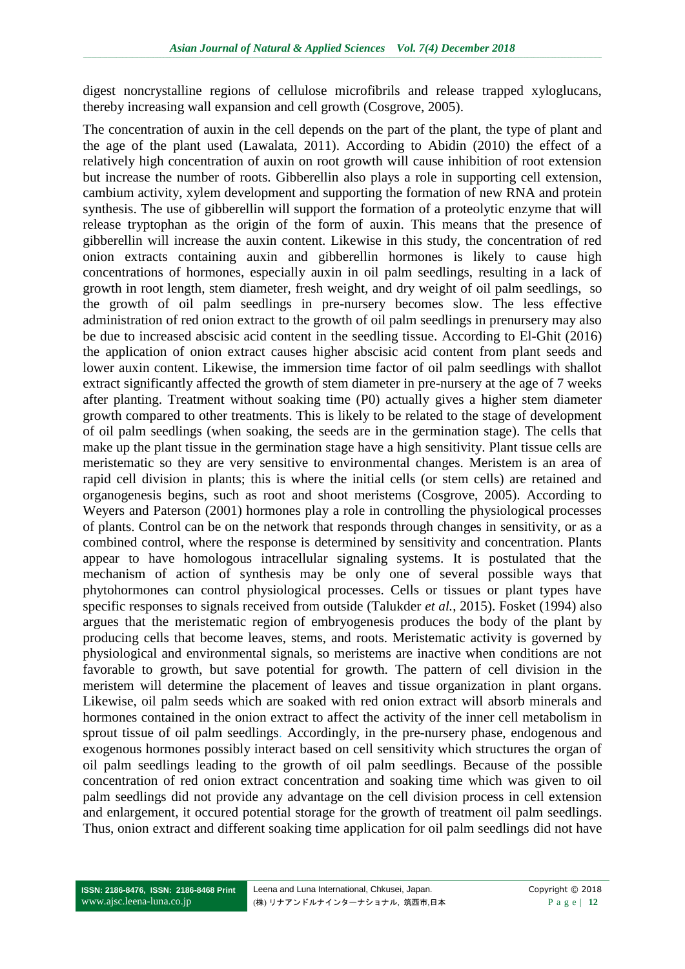digest noncrystalline regions of cellulose microfibrils and release trapped xyloglucans, thereby increasing wall expansion and cell growth (Cosgrove, 2005).

The concentration of auxin in the cell depends on the part of the plant, the type of plant and the age of the plant used (Lawalata, 2011). According to Abidin (2010) the effect of a relatively high concentration of auxin on root growth will cause inhibition of root extension but increase the number of roots. Gibberellin also plays a role in supporting cell extension, cambium activity, xylem development and supporting the formation of new RNA and protein synthesis. The use of gibberellin will support the formation of a proteolytic enzyme that will release tryptophan as the origin of the form of auxin. This means that the presence of gibberellin will increase the auxin content. Likewise in this study, the concentration of red onion extracts containing auxin and gibberellin hormones is likely to cause high concentrations of hormones, especially auxin in oil palm seedlings, resulting in a lack of growth in root length, stem diameter, fresh weight, and dry weight of oil palm seedlings, so the growth of oil palm seedlings in pre-nursery becomes slow. The less effective administration of red onion extract to the growth of oil palm seedlings in prenursery may also be due to increased abscisic acid content in the seedling tissue. According to El-Ghit (2016) the application of onion extract causes higher abscisic acid content from plant seeds and lower auxin content. Likewise, the immersion time factor of oil palm seedlings with shallot extract significantly affected the growth of stem diameter in pre-nursery at the age of 7 weeks after planting. Treatment without soaking time (P0) actually gives a higher stem diameter growth compared to other treatments. This is likely to be related to the stage of development of oil palm seedlings (when soaking, the seeds are in the germination stage). The cells that make up the plant tissue in the germination stage have a high sensitivity. Plant tissue cells are meristematic so they are very sensitive to environmental changes. Meristem is an area of rapid cell division in plants; this is where the initial cells (or stem cells) are retained and organogenesis begins, such as root and shoot meristems (Cosgrove, 2005). According to Weyers and Paterson (2001) hormones play a role in controlling the physiological processes of plants. Control can be on the network that responds through changes in sensitivity, or as a combined control, where the response is determined by sensitivity and concentration. Plants appear to have homologous intracellular signaling systems. It is postulated that the mechanism of action of synthesis may be only one of several possible ways that phytohormones can control physiological processes. Cells or tissues or plant types have specific responses to signals received from outside (Talukder *et al.*, 2015). Fosket (1994) also argues that the meristematic region of embryogenesis produces the body of the plant by producing cells that become leaves, stems, and roots. Meristematic activity is governed by physiological and environmental signals, so meristems are inactive when conditions are not favorable to growth, but save potential for growth. The pattern of cell division in the meristem will determine the placement of leaves and tissue organization in plant organs. Likewise, oil palm seeds which are soaked with red onion extract will absorb minerals and hormones contained in the onion extract to affect the activity of the inner cell metabolism in sprout tissue of oil palm seedlings. Accordingly, in the pre-nursery phase, endogenous and exogenous hormones possibly interact based on cell sensitivity which structures the organ of oil palm seedlings leading to the growth of oil palm seedlings. Because of the possible concentration of red onion extract concentration and soaking time which was given to oil palm seedlings did not provide any advantage on the cell division process in cell extension and enlargement, it occured potential storage for the growth of treatment oil palm seedlings. Thus, onion extract and different soaking time application for oil palm seedlings did not have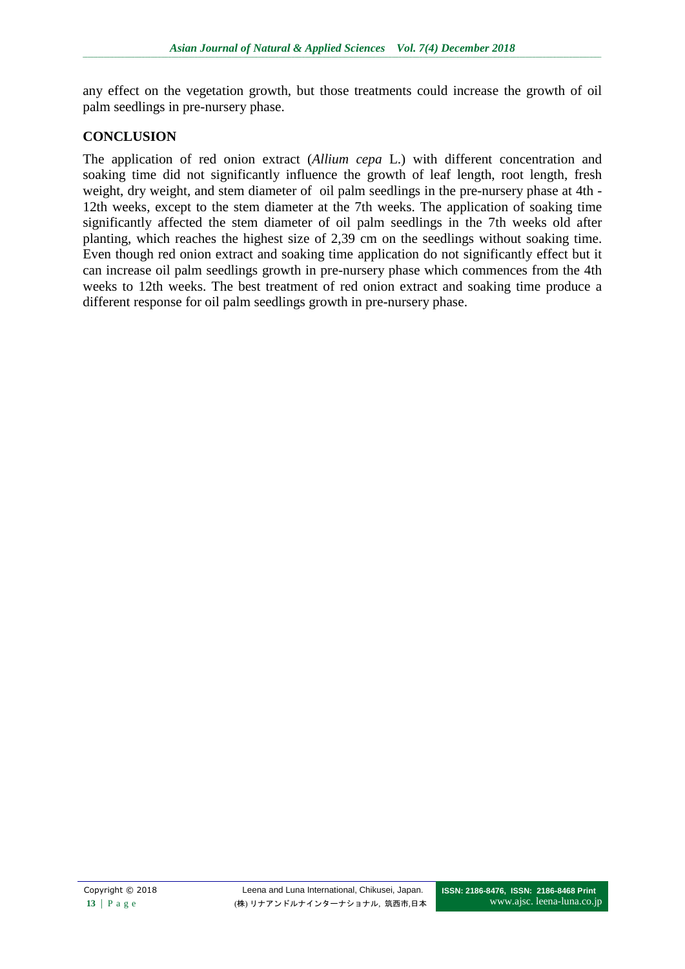any effect on the vegetation growth, but those treatments could increase the growth of oil palm seedlings in pre-nursery phase.

### **CONCLUSION**

The application of red onion extract (*Allium cepa* L.) with different concentration and soaking time did not significantly influence the growth of leaf length, root length, fresh weight, dry weight, and stem diameter of oil palm seedlings in the pre-nursery phase at 4th - 12th weeks, except to the stem diameter at the 7th weeks. The application of soaking time significantly affected the stem diameter of oil palm seedlings in the 7th weeks old after planting, which reaches the highest size of 2,39 cm on the seedlings without soaking time. Even though red onion extract and soaking time application do not significantly effect but it can increase oil palm seedlings growth in pre-nursery phase which commences from the 4th weeks to 12th weeks. The best treatment of red onion extract and soaking time produce a different response for oil palm seedlings growth in pre-nursery phase.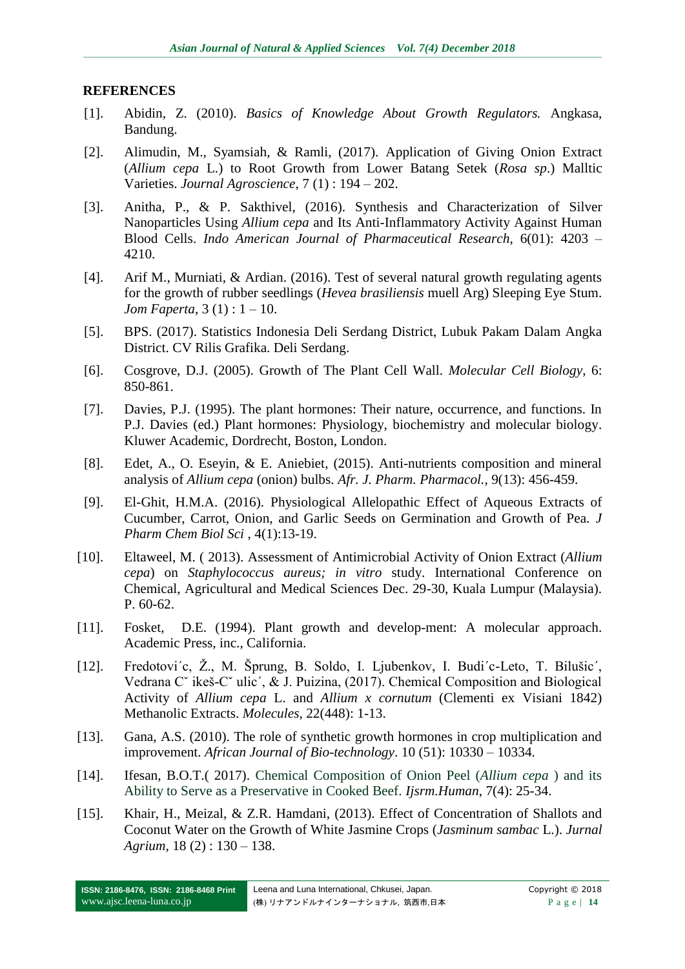### **REFERENCES**

- [1]. Abidin, Z. (2010). *Basics of Knowledge About Growth Regulators.* Angkasa, Bandung.
- [2]. Alimudin, M., Syamsiah, & Ramli, (2017). Application of Giving Onion Extract (*Allium cepa* L.) to Root Growth from Lower Batang Setek (*Rosa sp*.) Malltic Varieties. *Journal Agroscience*, 7 (1) : 194 – 202.
- [3]. Anitha, P., & P. Sakthivel, (2016). Synthesis and Characterization of Silver Nanoparticles Using *Allium cepa* and Its Anti-Inflammatory Activity Against Human Blood Cells. *Indo American Journal of Pharmaceutical Research*, 6(01): 4203 – 4210.
- [4]. Arif M., Murniati, & Ardian. (2016). Test of several natural growth regulating agents for the growth of rubber seedlings (*Hevea brasiliensis* muell Arg) Sleeping Eye Stum. *Jom Faperta*, 3 (1) : 1 – 10.
- [5]. BPS. (2017). Statistics Indonesia Deli Serdang District, Lubuk Pakam Dalam Angka District. CV Rilis Grafika. Deli Serdang.
- [6]. Cosgrove, D.J. (2005). Growth of The Plant Cell Wall. *Molecular Cell Biology*, 6: 850-861.
- [7]. Davies, P.J. (1995). The plant hormones: Their nature, occurrence, and functions. In P.J. Davies (ed.) Plant hormones: Physiology, biochemistry and molecular biology. Kluwer Academic, Dordrecht, Boston, London.
- [8]. Edet, A., O. Eseyin, & E. Aniebiet, (2015). Anti-nutrients composition and mineral analysis of *Allium cepa* (onion) bulbs. *Afr. J. Pharm. Pharmacol.*, 9(13): 456-459.
- [9]. El-Ghit, H.M.A. (2016). Physiological Allelopathic Effect of Aqueous Extracts of Cucumber, Carrot, Onion, and Garlic Seeds on Germination and Growth of Pea. *J Pharm Chem Biol Sci* , 4(1):13-19.
- [10]. Eltaweel, M. ( 2013). Assessment of Antimicrobial Activity of Onion Extract (*Allium cepa*) on *Staphylococcus aureus; in vitro* study. International Conference on Chemical, Agricultural and Medical Sciences Dec. 29-30, Kuala Lumpur (Malaysia). P. 60-62.
- [11]. Fosket, D.E. (1994). Plant growth and develop-ment: A molecular approach. Academic Press, inc., California.
- [12]. Fredotovi´c, Ž., M. Šprung, B. Soldo, I. Ljubenkov, I. Budi´c-Leto, T. Bilušic´, Vedrana Cˇ ikeš-Cˇ ulic´, & J. Puizina, (2017). Chemical Composition and Biological Activity of *Allium cepa* L. and *Allium x cornutum* (Clementi ex Visiani 1842) Methanolic Extracts. *Molecules*, 22(448): 1-13.
- [13]. Gana, A.S. (2010). The role of synthetic growth hormones in crop multiplication and improvement. *African Journal of Bio-technology*. 10 (51): 10330 – 10334.
- [14]. Ifesan, B.O.T.( 2017). Chemical Composition of Onion Peel (*Allium cepa* ) and its Ability to Serve as a Preservative in Cooked Beef. *Ijsrm.Human*, 7(4): 25-34.
- [15]. Khair, H., Meizal, & Z.R. Hamdani, (2013). Effect of Concentration of Shallots and Coconut Water on the Growth of White Jasmine Crops (*Jasminum sambac* L.). *Jurnal Agrium*, 18 (2) : 130 – 138.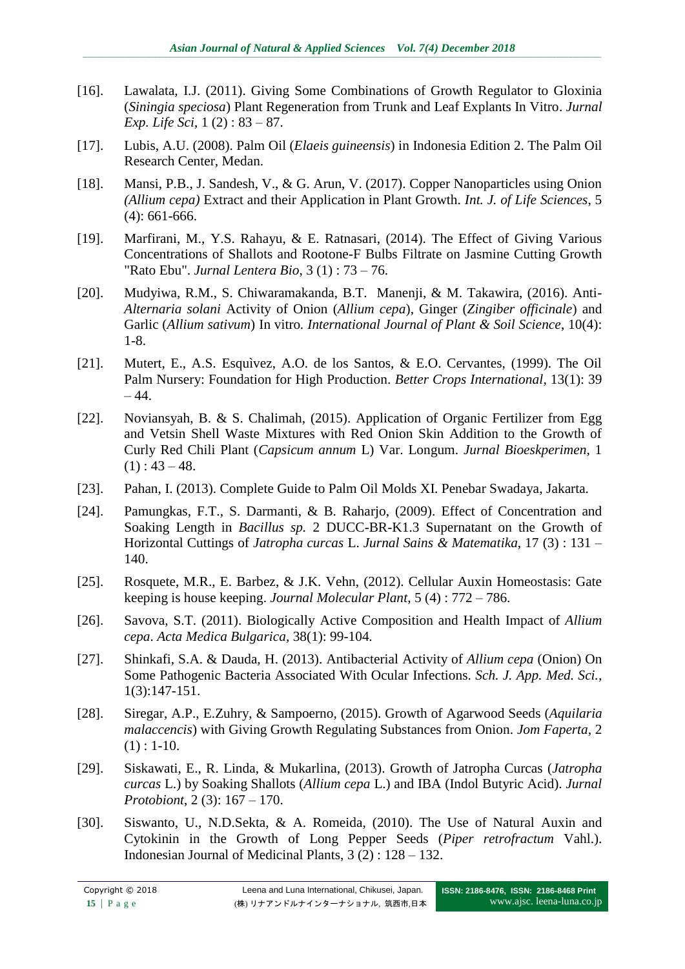- [16]. Lawalata, I.J. (2011). Giving Some Combinations of Growth Regulator to Gloxinia (*Siningia speciosa*) Plant Regeneration from Trunk and Leaf Explants In Vitro. *Jurnal Exp. Life Sci*, 1 (2) : 83 – 87.
- [17]. Lubis, A.U. (2008). Palm Oil (*Elaeis guineensis*) in Indonesia Edition 2. The Palm Oil Research Center, Medan.
- [18]. Mansi, P.B., J. Sandesh, V., & G. Arun, V. (2017). Copper Nanoparticles using Onion *(Allium cepa)* Extract and their Application in Plant Growth. *Int. J. of Life Sciences*, 5 (4): 661-666.
- [19]. Marfirani, M., Y.S. Rahayu, & E. Ratnasari, (2014). The Effect of Giving Various Concentrations of Shallots and Rootone-F Bulbs Filtrate on Jasmine Cutting Growth "Rato Ebu". *Jurnal Lentera Bio*, 3 (1) : 73 – 76.
- [20]. Mudyiwa, R.M., S. Chiwaramakanda, B.T. Manenji, & M. Takawira, (2016). Anti-*Alternaria solani* Activity of Onion (*Allium cepa*), Ginger (*Zingiber officinale*) and Garlic (*Allium sativum*) In vitro*. International Journal of Plant & Soil Science*, 10(4): 1-8.
- [21]. Mutert, E., A.S. Esquìvez, A.O. de los Santos, & E.O. Cervantes, (1999). The Oil Palm Nursery: Foundation for High Production. *Better Crops International*, 13(1): 39  $-44.$
- [22]. Noviansyah, B. & S. Chalimah, (2015). Application of Organic Fertilizer from Egg and Vetsin Shell Waste Mixtures with Red Onion Skin Addition to the Growth of Curly Red Chili Plant (*Capsicum annum* L) Var. Longum. *Jurnal Bioeskperimen*, 1  $(1)$ : 43 – 48.
- [23]. Pahan, I. (2013). Complete Guide to Palm Oil Molds XI. Penebar Swadaya, Jakarta.
- [24]. Pamungkas, F.T., S. Darmanti, & B. Raharjo, (2009). Effect of Concentration and Soaking Length in *Bacillus sp.* 2 DUCC-BR-K1.3 Supernatant on the Growth of Horizontal Cuttings of *Jatropha curcas* L. *Jurnal Sains & Matematika*, 17 (3) : 131 – 140.
- [25]. Rosquete, M.R., E. Barbez, & J.K. Vehn, (2012). Cellular Auxin Homeostasis: Gate keeping is house keeping. *Journal Molecular Plant*, 5 (4) : 772 – 786.
- [26]. Savova, S.T. (2011). Biologically Active Composition and Health Impact of *Allium cepa*. *Acta Medica Bulgarica,* 38(1): 99-104*.*
- [27]. Shinkafi, S.A. & Dauda, H. (2013). Antibacterial Activity of *Allium cepa* (Onion) On Some Pathogenic Bacteria Associated With Ocular Infections. *Sch. J. App. Med. Sci.,* 1(3):147-151.
- [28]. Siregar, A.P., E.Zuhry, & Sampoerno, (2015). Growth of Agarwood Seeds (*Aquilaria malaccencis*) with Giving Growth Regulating Substances from Onion. *Jom Faperta,* 2  $(1)$ : 1-10.
- [29]. Siskawati, E., R. Linda, & Mukarlina, (2013). Growth of Jatropha Curcas (*Jatropha curcas* L.) by Soaking Shallots (*Allium cepa* L.) and IBA (Indol Butyric Acid). *Jurnal Protobiont*, 2 (3): 167 – 170.
- [30]. Siswanto, U., N.D.Sekta, & A. Romeida, (2010). The Use of Natural Auxin and Cytokinin in the Growth of Long Pepper Seeds (*Piper retrofractum* Vahl.). Indonesian Journal of Medicinal Plants, 3 (2) : 128 – 132.